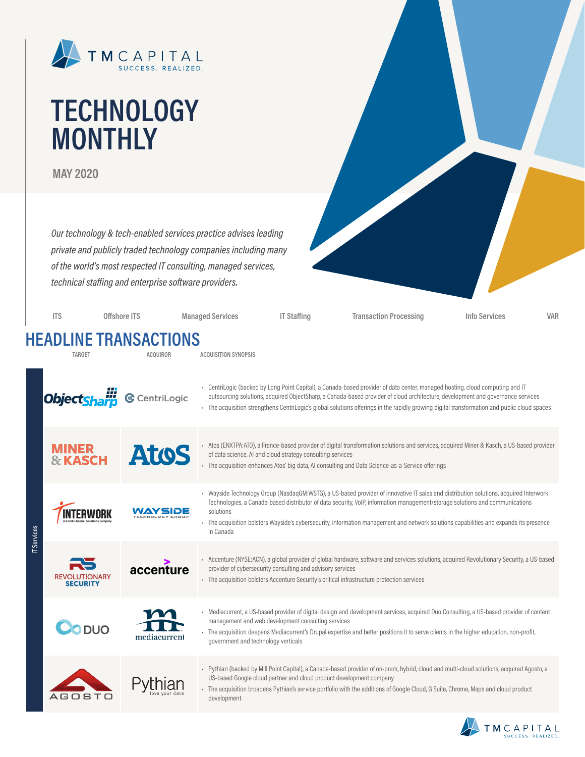

# **TECHNOLOGY MONTHLY**

**MAY 2020**

*Our technology & tech-enabled services practice advises leading private and publicly traded technology companies including many of the world's most respected IT consulting, managed services, technical staffing and enterprise software providers.*

|             | <b>ITS</b>                              | Offshore ITS                                    | <b>Managed Services</b>             | <b>IT Staffing</b>                                                  | <b>Transaction Processing</b>                                                                                                                                                                                                                                                                                                                                                                                    | Info Services | <b>VAR</b> |
|-------------|-----------------------------------------|-------------------------------------------------|-------------------------------------|---------------------------------------------------------------------|------------------------------------------------------------------------------------------------------------------------------------------------------------------------------------------------------------------------------------------------------------------------------------------------------------------------------------------------------------------------------------------------------------------|---------------|------------|
|             | <b>TARGET</b>                           | <b>HEADLINE TRANSACTIONS</b><br><b>ACQUIROR</b> | <b>ACQUISITION SYNOPSIS</b>         |                                                                     |                                                                                                                                                                                                                                                                                                                                                                                                                  |               |            |
|             | Object <mark>sharp</mark>               | <b>G</b> CentriLogic                            |                                     |                                                                     | - CentriLogic (backed by Long Point Capital), a Canada-based provider of data center, managed hosting, cloud computing and IT<br>outsourcing solutions, acquired ObjectSharp, a Canada-based provider of cloud architecture, development and governance services<br>- The acquisition strengthens CentriLogic's global solutions offerings in the rapidly growing digital transformation and public cloud spaces |               |            |
|             | MINER<br><b>&amp; KASCH</b>             | Atos                                            |                                     | of data science, AI and cloud strategy consulting services          | - Atos (ENXTPA:ATO), a France-based provider of digital transformation solutions and services, acquired Miner & Kasch, a US-based provider<br>- The acquisition enhances Atos' big data, AI consulting and Data Science-as-a-Service offerings                                                                                                                                                                   |               |            |
| IT Services |                                         | WAYSIDE                                         | solutions<br>in Canada              |                                                                     | - Wayside Technology Group (NasdaqGM:WSTG), a US-based provider of innovative IT sales and distribution solutions, acquired Interwork<br>Technologies, a Canada-based distributor of data security, VolP, information management/storage solutions and communications<br>The acquisition bolsters Wayside's cybersecurity, information management and network solutions capabilities and expands its presence    |               |            |
|             | <b>REVOLUTIONARY</b><br><b>SECURITY</b> | accenture                                       |                                     | provider of cybersecurity consulting and advisory services          | - Accenture (NYSE:ACN), a global provider of global hardware, software and services solutions, acquired Revolutionary Security, a US-based<br>- The acquisition bolsters Accenture Security's critical infrastructure protection services                                                                                                                                                                        |               |            |
|             | <b>DO DUO</b>                           | mediacurrent                                    | government and technology verticals | management and web development consulting services                  | - Mediacurrent, a US-based provider of digital design and development services, acquired Duo Consulting, a US-based provider of content<br>- The acquisition deepens Mediacurrent's Drupal expertise and better positions it to serve clients in the higher education, non-profit,                                                                                                                               |               |            |
|             |                                         | thian                                           |                                     | US-based Google cloud partner and cloud product development company | - Pythian (backed by Mill Point Capital), a Canada-based provider of on-prem, hybrid, cloud and multi-cloud solutions, acquired Agosto, a<br>- The acquisition broadens Pythian's service portfolio with the additions of Google Cloud, G Suite, Chrome, Maps and cloud product                                                                                                                                  |               |            |



US-based Google cloud partner and cloud product development company • The acquisition broadens Pythian's service portfolio with the additions of Google Cloud, G Suite, Chrome, Maps and cloud product development

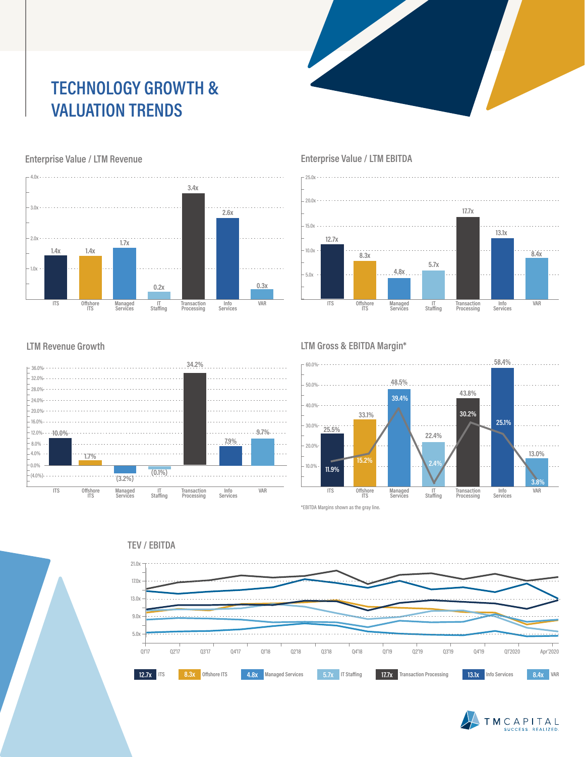## **TECHNOLOGY GROWTH & VALUATION TRENDS**



### Enterprise Value / LTM Revenue **Enterprise Value / LTM EBITDA**



#### **LTM Revenue Growth**



#### **LTM Gross & EBITDA Margin\***



\*EBITDA Margins shown as the gray line.